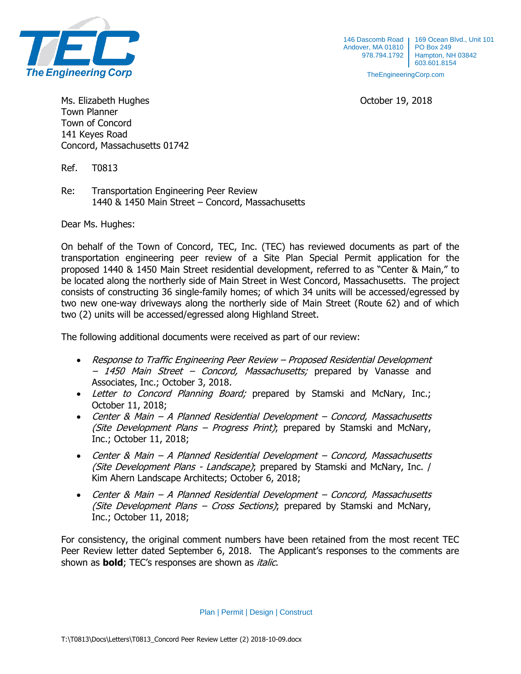

TheEngineeringCorp.com

Ms. Elizabeth Hughes **October 19, 2018** Town Planner Town of Concord 141 Keyes Road Concord, Massachusetts 01742

Ref. T0813

Re: Transportation Engineering Peer Review 1440 & 1450 Main Street – Concord, Massachusetts

Dear Ms. Hughes:

On behalf of the Town of Concord, TEC, Inc. (TEC) has reviewed documents as part of the transportation engineering peer review of a Site Plan Special Permit application for the proposed 1440 & 1450 Main Street residential development, referred to as "Center & Main," to be located along the northerly side of Main Street in West Concord, Massachusetts. The project consists of constructing 36 single-family homes; of which 34 units will be accessed/egressed by two new one-way driveways along the northerly side of Main Street (Route 62) and of which two (2) units will be accessed/egressed along Highland Street.

The following additional documents were received as part of our review:

- Response to Traffic Engineering Peer Review Proposed Residential Development – 1450 Main Street – Concord, Massachusetts; prepared by Vanasse and Associates, Inc.; October 3, 2018.
- Letter to Concord Planning Board; prepared by Stamski and McNary, Inc.; October 11, 2018;
- Center & Main A Planned Residential Development Concord, Massachusetts (Site Development Plans – Progress Print); prepared by Stamski and McNary, Inc.; October 11, 2018;
- Center & Main A Planned Residential Development Concord, Massachusetts (Site Development Plans - Landscape); prepared by Stamski and McNary, Inc. / Kim Ahern Landscape Architects; October 6, 2018;
- Center & Main A Planned Residential Development Concord, Massachusetts (Site Development Plans – Cross Sections); prepared by Stamski and McNary, Inc.; October 11, 2018;

For consistency, the original comment numbers have been retained from the most recent TEC Peer Review letter dated September 6, 2018. The Applicant's responses to the comments are shown as **bold**; TEC's responses are shown as *italic.* 

Plan | Permit | Design | Construct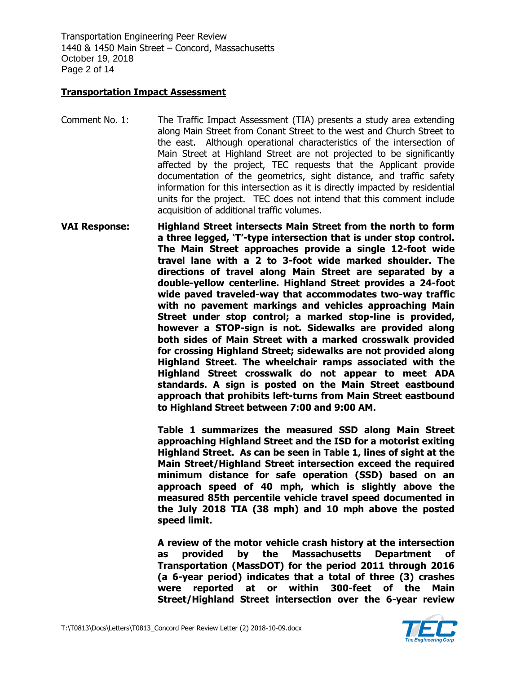Transportation Engineering Peer Review 1440 & 1450 Main Street – Concord, Massachusetts October 19, 2018 Page 2 of 14

# **Transportation Impact Assessment**

- Comment No. 1: The Traffic Impact Assessment (TIA) presents a study area extending along Main Street from Conant Street to the west and Church Street to the east. Although operational characteristics of the intersection of Main Street at Highland Street are not projected to be significantly affected by the project, TEC requests that the Applicant provide documentation of the geometrics, sight distance, and traffic safety information for this intersection as it is directly impacted by residential units for the project. TEC does not intend that this comment include acquisition of additional traffic volumes.
- **VAI Response: Highland Street intersects Main Street from the north to form a three legged, 'T'-type intersection that is under stop control. The Main Street approaches provide a single 12-foot wide travel lane with a 2 to 3-foot wide marked shoulder. The directions of travel along Main Street are separated by a double-yellow centerline. Highland Street provides a 24-foot wide paved traveled-way that accommodates two-way traffic with no pavement markings and vehicles approaching Main Street under stop control; a marked stop-line is provided, however a STOP-sign is not. Sidewalks are provided along both sides of Main Street with a marked crosswalk provided for crossing Highland Street; sidewalks are not provided along Highland Street. The wheelchair ramps associated with the Highland Street crosswalk do not appear to meet ADA standards. A sign is posted on the Main Street eastbound approach that prohibits left-turns from Main Street eastbound to Highland Street between 7:00 and 9:00 AM.**

**Table 1 summarizes the measured SSD along Main Street approaching Highland Street and the ISD for a motorist exiting Highland Street. As can be seen in Table 1, lines of sight at the Main Street/Highland Street intersection exceed the required minimum distance for safe operation (SSD) based on an approach speed of 40 mph, which is slightly above the measured 85th percentile vehicle travel speed documented in the July 2018 TIA (38 mph) and 10 mph above the posted speed limit.**

**A review of the motor vehicle crash history at the intersection as provided by the Massachusetts Department of Transportation (MassDOT) for the period 2011 through 2016 (a 6-year period) indicates that a total of three (3) crashes were reported at or within 300-feet of the Main Street/Highland Street intersection over the 6-year review** 

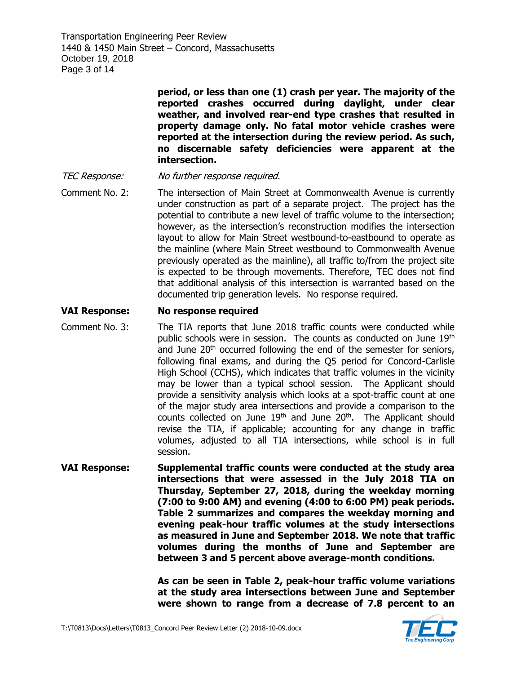Transportation Engineering Peer Review 1440 & 1450 Main Street – Concord, Massachusetts October 19, 2018 Page 3 of 14

> **period, or less than one (1) crash per year. The majority of the reported crashes occurred during daylight, under clear weather, and involved rear-end type crashes that resulted in property damage only. No fatal motor vehicle crashes were reported at the intersection during the review period. As such, no discernable safety deficiencies were apparent at the intersection.**

- TEC Response: No further response required.
- Comment No. 2: The intersection of Main Street at Commonwealth Avenue is currently under construction as part of a separate project. The project has the potential to contribute a new level of traffic volume to the intersection; however, as the intersection's reconstruction modifies the intersection layout to allow for Main Street westbound-to-eastbound to operate as the mainline (where Main Street westbound to Commonwealth Avenue previously operated as the mainline), all traffic to/from the project site is expected to be through movements. Therefore, TEC does not find that additional analysis of this intersection is warranted based on the documented trip generation levels. No response required.

# **VAI Response: No response required**

- Comment No. 3: The TIA reports that June 2018 traffic counts were conducted while public schools were in session. The counts as conducted on June 19<sup>th</sup> and June  $20<sup>th</sup>$  occurred following the end of the semester for seniors, following final exams, and during the Q5 period for Concord-Carlisle High School (CCHS), which indicates that traffic volumes in the vicinity may be lower than a typical school session. The Applicant should provide a sensitivity analysis which looks at a spot-traffic count at one of the major study area intersections and provide a comparison to the counts collected on June  $19<sup>th</sup>$  and June  $20<sup>th</sup>$ . The Applicant should revise the TIA, if applicable; accounting for any change in traffic volumes, adjusted to all TIA intersections, while school is in full session.
- **VAI Response: Supplemental traffic counts were conducted at the study area intersections that were assessed in the July 2018 TIA on Thursday, September 27, 2018, during the weekday morning (7:00 to 9:00 AM) and evening (4:00 to 6:00 PM) peak periods. Table 2 summarizes and compares the weekday morning and evening peak-hour traffic volumes at the study intersections as measured in June and September 2018. We note that traffic volumes during the months of June and September are between 3 and 5 percent above average-month conditions.**

**As can be seen in Table 2, peak-hour traffic volume variations at the study area intersections between June and September were shown to range from a decrease of 7.8 percent to an** 

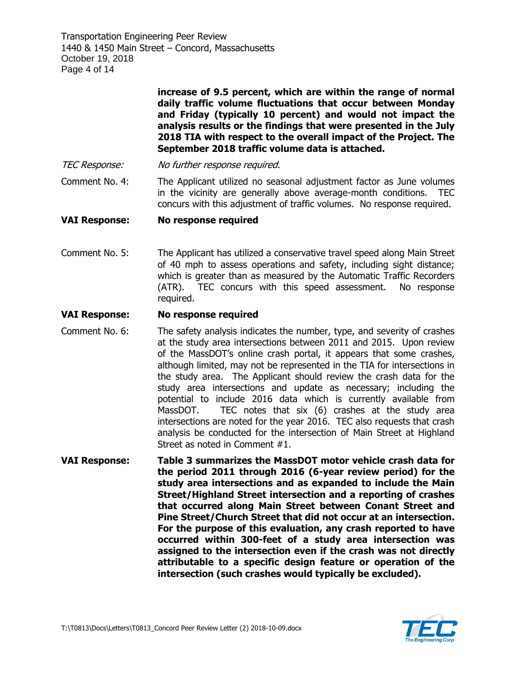Transportation Engineering Peer Review 1440 & 1450 Main Street – Concord, Massachusetts October 19, 2018 Page 4 of 14

> **increase of 9.5 percent, which are within the range of normal daily traffic volume fluctuations that occur between Monday and Friday (typically 10 percent) and would not impact the analysis results or the findings that were presented in the July 2018 TIA with respect to the overall impact of the Project. The September 2018 traffic volume data is attached.**

TEC Response: No further response required.

Comment No. 4: The Applicant utilized no seasonal adjustment factor as June volumes in the vicinity are generally above average-month conditions. TEC concurs with this adjustment of traffic volumes. No response required.

# **VAI Response: No response required**

Comment No. 5: The Applicant has utilized a conservative travel speed along Main Street of 40 mph to assess operations and safety, including sight distance; which is greater than as measured by the Automatic Traffic Recorders (ATR). TEC concurs with this speed assessment. No response required.

# **VAI Response: No response required**

- Comment No. 6: The safety analysis indicates the number, type, and severity of crashes at the study area intersections between 2011 and 2015. Upon review of the MassDOT's online crash portal, it appears that some crashes, although limited, may not be represented in the TIA for intersections in the study area. The Applicant should review the crash data for the study area intersections and update as necessary; including the potential to include 2016 data which is currently available from MassDOT. TEC notes that six (6) crashes at the study area intersections are noted for the year 2016. TEC also requests that crash analysis be conducted for the intersection of Main Street at Highland Street as noted in Comment #1.
- **VAI Response: Table 3 summarizes the MassDOT motor vehicle crash data for the period 2011 through 2016 (6-year review period) for the study area intersections and as expanded to include the Main Street/Highland Street intersection and a reporting of crashes that occurred along Main Street between Conant Street and Pine Street/Church Street that did not occur at an intersection. For the purpose of this evaluation, any crash reported to have occurred within 300-feet of a study area intersection was assigned to the intersection even if the crash was not directly attributable to a specific design feature or operation of the intersection (such crashes would typically be excluded).**

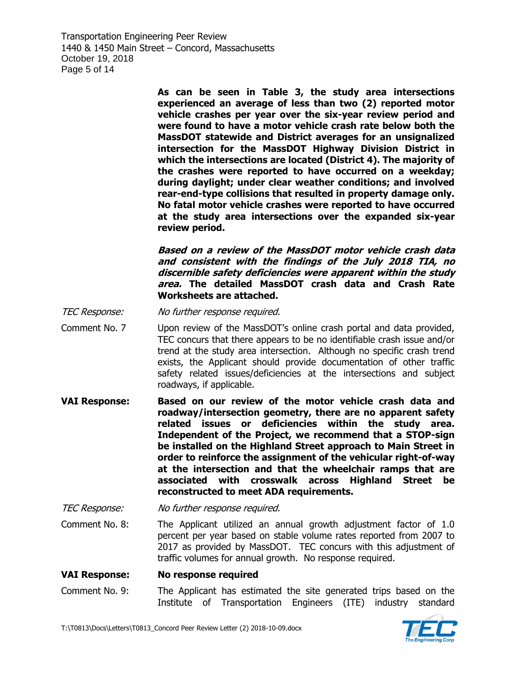Transportation Engineering Peer Review 1440 & 1450 Main Street – Concord, Massachusetts October 19, 2018 Page 5 of 14

> **As can be seen in Table 3, the study area intersections experienced an average of less than two (2) reported motor vehicle crashes per year over the six-year review period and were found to have a motor vehicle crash rate below both the MassDOT statewide and District averages for an unsignalized intersection for the MassDOT Highway Division District in which the intersections are located (District 4). The majority of the crashes were reported to have occurred on a weekday; during daylight; under clear weather conditions; and involved rear-end-type collisions that resulted in property damage only. No fatal motor vehicle crashes were reported to have occurred at the study area intersections over the expanded six-year review period.**

> **Based on a review of the MassDOT motor vehicle crash data and consistent with the findings of the July 2018 TIA, no discernible safety deficiencies were apparent within the study area. The detailed MassDOT crash data and Crash Rate Worksheets are attached.**

TEC Response: No further response required.

- Comment No. 7 Upon review of the MassDOT's online crash portal and data provided, TEC concurs that there appears to be no identifiable crash issue and/or trend at the study area intersection. Although no specific crash trend exists, the Applicant should provide documentation of other traffic safety related issues/deficiencies at the intersections and subject roadways, if applicable.
- **VAI Response: Based on our review of the motor vehicle crash data and roadway/intersection geometry, there are no apparent safety related issues or deficiencies within the study area. Independent of the Project, we recommend that a STOP-sign be installed on the Highland Street approach to Main Street in order to reinforce the assignment of the vehicular right-of-way at the intersection and that the wheelchair ramps that are associated with crosswalk across Highland Street be reconstructed to meet ADA requirements.**

TEC Response: No further response required.

Comment No. 8: The Applicant utilized an annual growth adjustment factor of 1.0 percent per year based on stable volume rates reported from 2007 to 2017 as provided by MassDOT. TEC concurs with this adjustment of traffic volumes for annual growth. No response required.

#### **VAI Response: No response required**

Comment No. 9: The Applicant has estimated the site generated trips based on the Institute of Transportation Engineers (ITE) industry standard

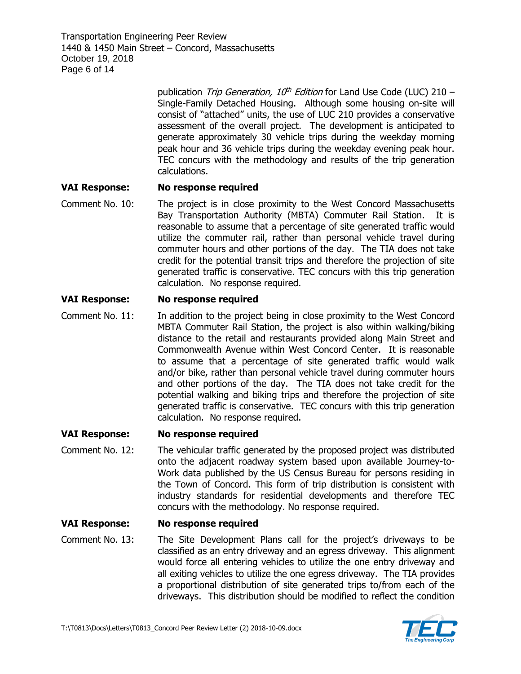Transportation Engineering Peer Review 1440 & 1450 Main Street – Concord, Massachusetts October 19, 2018 Page 6 of 14

> publication Trip Generation, 10<sup>th</sup> Edition for Land Use Code (LUC) 210 -Single-Family Detached Housing. Although some housing on-site will consist of "attached" units, the use of LUC 210 provides a conservative assessment of the overall project. The development is anticipated to generate approximately 30 vehicle trips during the weekday morning peak hour and 36 vehicle trips during the weekday evening peak hour. TEC concurs with the methodology and results of the trip generation calculations.

# **VAI Response: No response required**

Comment No. 10: The project is in close proximity to the West Concord Massachusetts Bay Transportation Authority (MBTA) Commuter Rail Station. It is reasonable to assume that a percentage of site generated traffic would utilize the commuter rail, rather than personal vehicle travel during commuter hours and other portions of the day. The TIA does not take credit for the potential transit trips and therefore the projection of site generated traffic is conservative. TEC concurs with this trip generation calculation. No response required.

#### **VAI Response: No response required**

Comment No. 11: In addition to the project being in close proximity to the West Concord MBTA Commuter Rail Station, the project is also within walking/biking distance to the retail and restaurants provided along Main Street and Commonwealth Avenue within West Concord Center. It is reasonable to assume that a percentage of site generated traffic would walk and/or bike, rather than personal vehicle travel during commuter hours and other portions of the day. The TIA does not take credit for the potential walking and biking trips and therefore the projection of site generated traffic is conservative. TEC concurs with this trip generation calculation. No response required.

#### **VAI Response: No response required**

Comment No. 12: The vehicular traffic generated by the proposed project was distributed onto the adjacent roadway system based upon available Journey-to-Work data published by the US Census Bureau for persons residing in the Town of Concord. This form of trip distribution is consistent with industry standards for residential developments and therefore TEC concurs with the methodology. No response required.

#### **VAI Response: No response required**

Comment No. 13: The Site Development Plans call for the project's driveways to be classified as an entry driveway and an egress driveway. This alignment would force all entering vehicles to utilize the one entry driveway and all exiting vehicles to utilize the one egress driveway. The TIA provides a proportional distribution of site generated trips to/from each of the driveways. This distribution should be modified to reflect the condition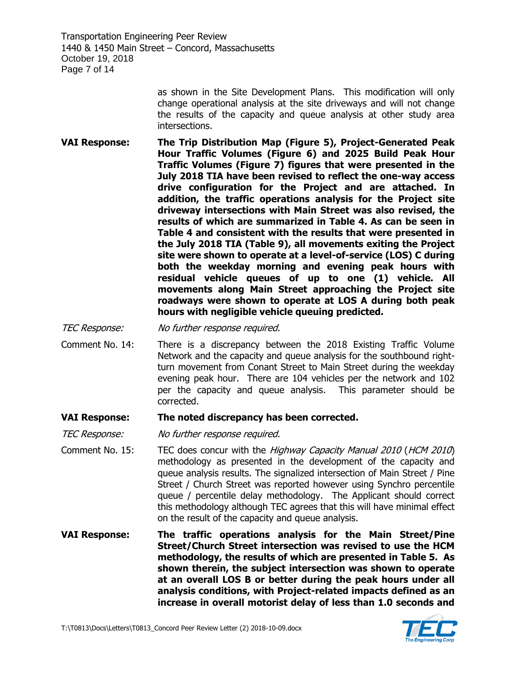Transportation Engineering Peer Review 1440 & 1450 Main Street – Concord, Massachusetts October 19, 2018 Page 7 of 14

> as shown in the Site Development Plans. This modification will only change operational analysis at the site driveways and will not change the results of the capacity and queue analysis at other study area intersections.

**VAI Response: The Trip Distribution Map (Figure 5), Project-Generated Peak Hour Traffic Volumes (Figure 6) and 2025 Build Peak Hour Traffic Volumes (Figure 7) figures that were presented in the July 2018 TIA have been revised to reflect the one-way access drive configuration for the Project and are attached. In addition, the traffic operations analysis for the Project site driveway intersections with Main Street was also revised, the results of which are summarized in Table 4. As can be seen in Table 4 and consistent with the results that were presented in the July 2018 TIA (Table 9), all movements exiting the Project site were shown to operate at a level-of-service (LOS) C during both the weekday morning and evening peak hours with residual vehicle queues of up to one (1) vehicle. All movements along Main Street approaching the Project site roadways were shown to operate at LOS A during both peak hours with negligible vehicle queuing predicted.**

TEC Response: No further response required.

Comment No. 14: There is a discrepancy between the 2018 Existing Traffic Volume Network and the capacity and queue analysis for the southbound rightturn movement from Conant Street to Main Street during the weekday evening peak hour. There are 104 vehicles per the network and 102 per the capacity and queue analysis. This parameter should be corrected.

#### **VAI Response: The noted discrepancy has been corrected.**

TEC Response: No further response required.

- Comment No. 15: TEC does concur with the Highway Capacity Manual 2010 (HCM 2010) methodology as presented in the development of the capacity and queue analysis results. The signalized intersection of Main Street / Pine Street / Church Street was reported however using Synchro percentile queue / percentile delay methodology. The Applicant should correct this methodology although TEC agrees that this will have minimal effect on the result of the capacity and queue analysis.
- **VAI Response: The traffic operations analysis for the Main Street/Pine Street/Church Street intersection was revised to use the HCM methodology, the results of which are presented in Table 5. As shown therein, the subject intersection was shown to operate at an overall LOS B or better during the peak hours under all analysis conditions, with Project-related impacts defined as an increase in overall motorist delay of less than 1.0 seconds and**

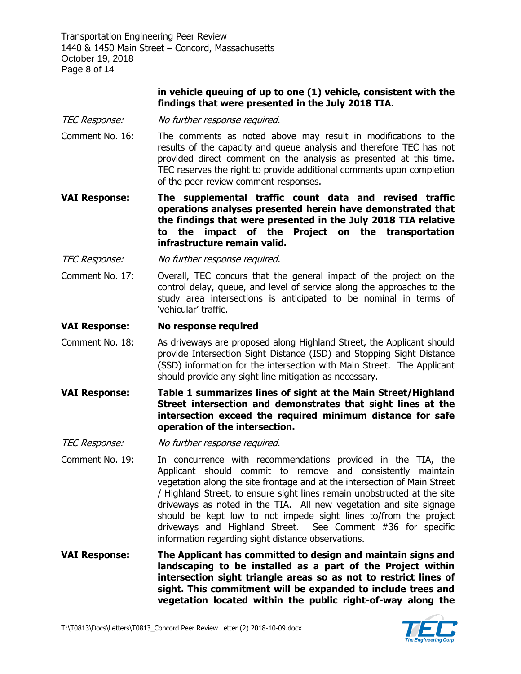Transportation Engineering Peer Review 1440 & 1450 Main Street – Concord, Massachusetts October 19, 2018 Page 8 of 14

# **in vehicle queuing of up to one (1) vehicle, consistent with the findings that were presented in the July 2018 TIA.**

- TEC Response: No further response required.
- Comment No. 16: The comments as noted above may result in modifications to the results of the capacity and queue analysis and therefore TEC has not provided direct comment on the analysis as presented at this time. TEC reserves the right to provide additional comments upon completion of the peer review comment responses.
- **VAI Response: The supplemental traffic count data and revised traffic operations analyses presented herein have demonstrated that the findings that were presented in the July 2018 TIA relative to the impact of the Project on the transportation infrastructure remain valid.**
- TEC Response: No further response required.
- Comment No. 17: Overall, TEC concurs that the general impact of the project on the control delay, queue, and level of service along the approaches to the study area intersections is anticipated to be nominal in terms of 'vehicular' traffic.

#### **VAI Response: No response required**

- Comment No. 18: As driveways are proposed along Highland Street, the Applicant should provide Intersection Sight Distance (ISD) and Stopping Sight Distance (SSD) information for the intersection with Main Street. The Applicant should provide any sight line mitigation as necessary.
- **VAI Response: Table 1 summarizes lines of sight at the Main Street/Highland Street intersection and demonstrates that sight lines at the intersection exceed the required minimum distance for safe operation of the intersection.**

TEC Response: No further response required.

Comment No. 19: In concurrence with recommendations provided in the TIA, the Applicant should commit to remove and consistently maintain vegetation along the site frontage and at the intersection of Main Street / Highland Street, to ensure sight lines remain unobstructed at the site driveways as noted in the TIA. All new vegetation and site signage should be kept low to not impede sight lines to/from the project driveways and Highland Street. See Comment #36 for specific information regarding sight distance observations.

**VAI Response: The Applicant has committed to design and maintain signs and landscaping to be installed as a part of the Project within intersection sight triangle areas so as not to restrict lines of sight. This commitment will be expanded to include trees and vegetation located within the public right-of-way along the** 

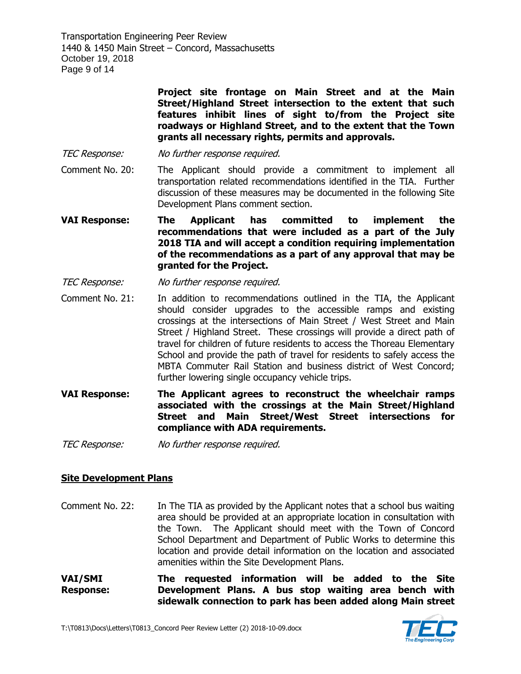Transportation Engineering Peer Review 1440 & 1450 Main Street – Concord, Massachusetts October 19, 2018 Page 9 of 14

> **Project site frontage on Main Street and at the Main Street/Highland Street intersection to the extent that such features inhibit lines of sight to/from the Project site roadways or Highland Street, and to the extent that the Town grants all necessary rights, permits and approvals.**

- TEC Response: No further response required.
- Comment No. 20: The Applicant should provide a commitment to implement all transportation related recommendations identified in the TIA. Further discussion of these measures may be documented in the following Site Development Plans comment section.
- **VAI Response: The Applicant has committed to implement the recommendations that were included as a part of the July 2018 TIA and will accept a condition requiring implementation of the recommendations as a part of any approval that may be granted for the Project.**
- TEC Response: No further response required.
- Comment No. 21: In addition to recommendations outlined in the TIA, the Applicant should consider upgrades to the accessible ramps and existing crossings at the intersections of Main Street / West Street and Main Street / Highland Street. These crossings will provide a direct path of travel for children of future residents to access the Thoreau Elementary School and provide the path of travel for residents to safely access the MBTA Commuter Rail Station and business district of West Concord; further lowering single occupancy vehicle trips.
- **VAI Response: The Applicant agrees to reconstruct the wheelchair ramps associated with the crossings at the Main Street/Highland Street and Main Street/West Street intersections for compliance with ADA requirements.**

TEC Response: No further response required.

#### **Site Development Plans**

- Comment No. 22: In The TIA as provided by the Applicant notes that a school bus waiting area should be provided at an appropriate location in consultation with the Town. The Applicant should meet with the Town of Concord School Department and Department of Public Works to determine this location and provide detail information on the location and associated amenities within the Site Development Plans.
- **VAI/SMI Response: The requested information will be added to the Site Development Plans. A bus stop waiting area bench with sidewalk connection to park has been added along Main street**

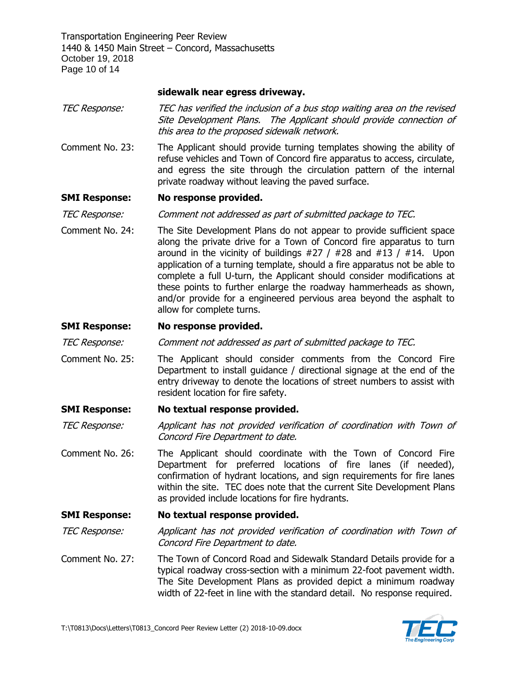Transportation Engineering Peer Review 1440 & 1450 Main Street – Concord, Massachusetts October 19, 2018 Page 10 of 14

# **sidewalk near egress driveway.**

- TEC Response: TEC has verified the inclusion of a bus stop waiting area on the revised Site Development Plans. The Applicant should provide connection of this area to the proposed sidewalk network.
- Comment No. 23: The Applicant should provide turning templates showing the ability of refuse vehicles and Town of Concord fire apparatus to access, circulate, and egress the site through the circulation pattern of the internal private roadway without leaving the paved surface.

# **SMI Response: No response provided.**

TEC Response: Comment not addressed as part of submitted package to TEC.

Comment No. 24: The Site Development Plans do not appear to provide sufficient space along the private drive for a Town of Concord fire apparatus to turn around in the vicinity of buildings  $#27 / #28$  and  $#13 / #14$ . Upon application of a turning template, should a fire apparatus not be able to complete a full U-turn, the Applicant should consider modifications at these points to further enlarge the roadway hammerheads as shown, and/or provide for a engineered pervious area beyond the asphalt to allow for complete turns.

# **SMI Response: No response provided.**

TEC Response: Comment not addressed as part of submitted package to TEC.

Comment No. 25: The Applicant should consider comments from the Concord Fire Department to install guidance / directional signage at the end of the entry driveway to denote the locations of street numbers to assist with resident location for fire safety.

# **SMI Response: No textual response provided.**

TEC Response: Applicant has not provided verification of coordination with Town of Concord Fire Department to date.

Comment No. 26: The Applicant should coordinate with the Town of Concord Fire Department for preferred locations of fire lanes (if needed), confirmation of hydrant locations, and sign requirements for fire lanes within the site. TEC does note that the current Site Development Plans as provided include locations for fire hydrants.

#### **SMI Response: No textual response provided.**

TEC Response: Applicant has not provided verification of coordination with Town of Concord Fire Department to date.

Comment No. 27: The Town of Concord Road and Sidewalk Standard Details provide for a typical roadway cross-section with a minimum 22-foot pavement width. The Site Development Plans as provided depict a minimum roadway width of 22-feet in line with the standard detail. No response required.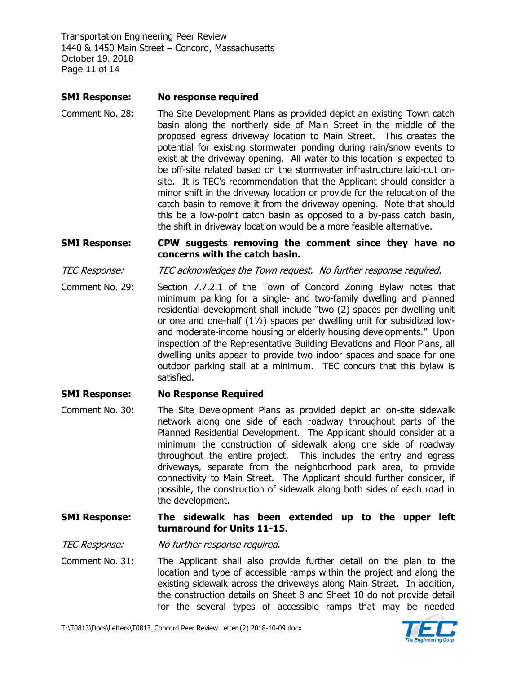Transportation Engineering Peer Review 1440 & 1450 Main Street – Concord, Massachusetts October 19, 2018 Page 11 of 14

# **SMI Response: No response required**

Comment No. 28: The Site Development Plans as provided depict an existing Town catch basin along the northerly side of Main Street in the middle of the proposed egress driveway location to Main Street. This creates the potential for existing stormwater ponding during rain/snow events to exist at the driveway opening. All water to this location is expected to be off-site related based on the stormwater infrastructure laid-out onsite. It is TEC's recommendation that the Applicant should consider a minor shift in the driveway location or provide for the relocation of the catch basin to remove it from the driveway opening. Note that should this be a low-point catch basin as opposed to a by-pass catch basin, the shift in driveway location would be a more feasible alternative.

# **SMI Response: CPW suggests removing the comment since they have no concerns with the catch basin.**

TEC Response: TEC acknowledges the Town request. No further response required.

Comment No. 29: Section 7.7.2.1 of the Town of Concord Zoning Bylaw notes that minimum parking for a single- and two-family dwelling and planned residential development shall include "two (2) spaces per dwelling unit or one and one-half (1½) spaces per dwelling unit for subsidized lowand moderate-income housing or elderly housing developments." Upon inspection of the Representative Building Elevations and Floor Plans, all dwelling units appear to provide two indoor spaces and space for one outdoor parking stall at a minimum. TEC concurs that this bylaw is satisfied.

# **SMI Response: No Response Required**

Comment No. 30: The Site Development Plans as provided depict an on-site sidewalk network along one side of each roadway throughout parts of the Planned Residential Development. The Applicant should consider at a minimum the construction of sidewalk along one side of roadway throughout the entire project. This includes the entry and egress driveways, separate from the neighborhood park area, to provide connectivity to Main Street. The Applicant should further consider, if possible, the construction of sidewalk along both sides of each road in the development.

# **SMI Response: The sidewalk has been extended up to the upper left turnaround for Units 11-15.**

TEC Response: No further response required.

Comment No. 31: The Applicant shall also provide further detail on the plan to the location and type of accessible ramps within the project and along the existing sidewalk across the driveways along Main Street. In addition, the construction details on Sheet 8 and Sheet 10 do not provide detail for the several types of accessible ramps that may be needed

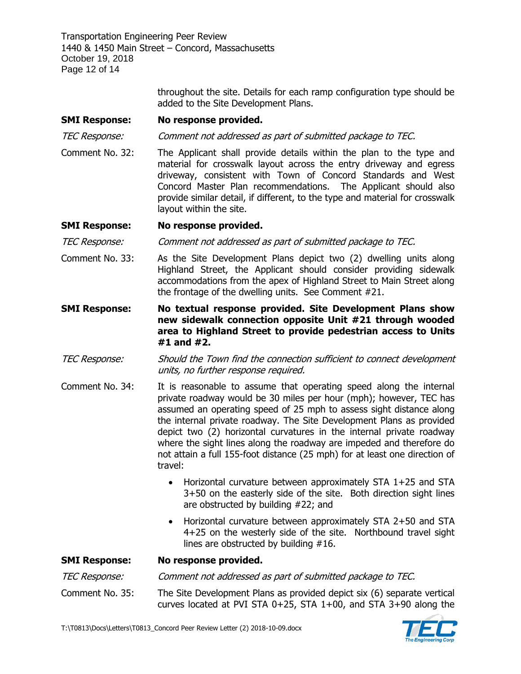Transportation Engineering Peer Review 1440 & 1450 Main Street – Concord, Massachusetts October 19, 2018 Page 12 of 14

> throughout the site. Details for each ramp configuration type should be added to the Site Development Plans.

# **SMI Response: No response provided.**

TEC Response: Comment not addressed as part of submitted package to TEC.

Comment No. 32: The Applicant shall provide details within the plan to the type and material for crosswalk layout across the entry driveway and egress driveway, consistent with Town of Concord Standards and West Concord Master Plan recommendations. The Applicant should also provide similar detail, if different, to the type and material for crosswalk layout within the site.

# **SMI Response: No response provided.**

TEC Response: Comment not addressed as part of submitted package to TEC.

- Comment No. 33: As the Site Development Plans depict two (2) dwelling units along Highland Street, the Applicant should consider providing sidewalk accommodations from the apex of Highland Street to Main Street along the frontage of the dwelling units. See Comment #21.
- **SMI Response: No textual response provided. Site Development Plans show new sidewalk connection opposite Unit #21 through wooded area to Highland Street to provide pedestrian access to Units #1 and #2.**
- TEC Response: Should the Town find the connection sufficient to connect development units, no further response required.
- Comment No. 34: It is reasonable to assume that operating speed along the internal private roadway would be 30 miles per hour (mph); however, TEC has assumed an operating speed of 25 mph to assess sight distance along the internal private roadway. The Site Development Plans as provided depict two (2) horizontal curvatures in the internal private roadway where the sight lines along the roadway are impeded and therefore do not attain a full 155-foot distance (25 mph) for at least one direction of travel:
	- Horizontal curvature between approximately STA 1+25 and STA 3+50 on the easterly side of the site. Both direction sight lines are obstructed by building #22; and
	- Horizontal curvature between approximately STA 2+50 and STA 4+25 on the westerly side of the site. Northbound travel sight lines are obstructed by building #16.

**SMI Response: No response provided.** TEC Response: Comment not addressed as part of submitted package to TEC. Comment No. 35: The Site Development Plans as provided depict six (6) separate vertical curves located at PVI STA 0+25, STA 1+00, and STA 3+90 along the

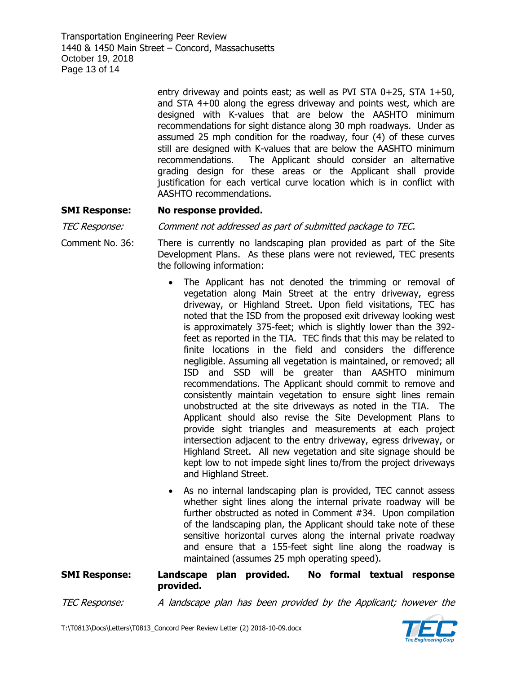Transportation Engineering Peer Review 1440 & 1450 Main Street – Concord, Massachusetts October 19, 2018 Page 13 of 14

> entry driveway and points east; as well as PVI STA  $0+25$ , STA  $1+50$ , and STA 4+00 along the egress driveway and points west, which are designed with K-values that are below the AASHTO minimum recommendations for sight distance along 30 mph roadways. Under as assumed 25 mph condition for the roadway, four (4) of these curves still are designed with K-values that are below the AASHTO minimum recommendations. The Applicant should consider an alternative grading design for these areas or the Applicant shall provide justification for each vertical curve location which is in conflict with AASHTO recommendations.

# **SMI Response: No response provided.**

TEC Response: Comment not addressed as part of submitted package to TEC.

Comment No. 36: There is currently no landscaping plan provided as part of the Site Development Plans. As these plans were not reviewed, TEC presents the following information:

- The Applicant has not denoted the trimming or removal of vegetation along Main Street at the entry driveway, egress driveway, or Highland Street. Upon field visitations, TEC has noted that the ISD from the proposed exit driveway looking west is approximately 375-feet; which is slightly lower than the 392 feet as reported in the TIA. TEC finds that this may be related to finite locations in the field and considers the difference negligible. Assuming all vegetation is maintained, or removed; all ISD and SSD will be greater than AASHTO minimum recommendations. The Applicant should commit to remove and consistently maintain vegetation to ensure sight lines remain unobstructed at the site driveways as noted in the TIA. The Applicant should also revise the Site Development Plans to provide sight triangles and measurements at each project intersection adjacent to the entry driveway, egress driveway, or Highland Street. All new vegetation and site signage should be kept low to not impede sight lines to/from the project driveways and Highland Street.
- As no internal landscaping plan is provided, TEC cannot assess whether sight lines along the internal private roadway will be further obstructed as noted in Comment #34. Upon compilation of the landscaping plan, the Applicant should take note of these sensitive horizontal curves along the internal private roadway and ensure that a 155-feet sight line along the roadway is maintained (assumes 25 mph operating speed).

**SMI Response: Landscape plan provided. No formal textual response provided.**

TEC Response: A landscape plan has been provided by the Applicant; however the